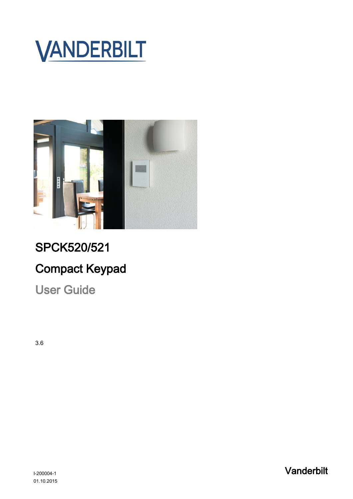



# SPCK520/521 Compact Keypad

User Guide

3.6

I-200004-1 Vanderbilt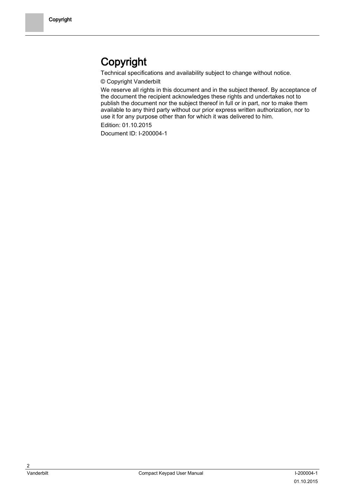# **Copyright**

Technical specifications and availability subject to change without notice.

© Copyright Vanderbilt

We reserve all rights in this document and in the subject thereof. By acceptance of the document the recipient acknowledges these rights and undertakes not to publish the document nor the subject thereof in full or in part, nor to make them available to any third party without our prior express written authorization, nor to use it for any purpose other than for which it was delivered to him.

Edition: 01.10.2015

Document ID: I-200004-1

2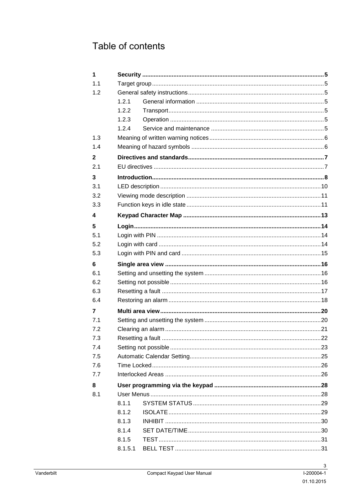# Table of contents

| 1            |         |  |  |  |
|--------------|---------|--|--|--|
| 1.1          |         |  |  |  |
| 1.2          |         |  |  |  |
|              | 1.2.1   |  |  |  |
|              | 1.2.2   |  |  |  |
|              | 1.2.3   |  |  |  |
|              | 1.2.4   |  |  |  |
| 1.3          |         |  |  |  |
| 1.4          |         |  |  |  |
| $\mathbf{2}$ |         |  |  |  |
| 2.1          |         |  |  |  |
| 3            |         |  |  |  |
| 3.1          |         |  |  |  |
| 3.2          |         |  |  |  |
| 3.3          |         |  |  |  |
| 4            |         |  |  |  |
| 5            |         |  |  |  |
| 5.1          |         |  |  |  |
| 5.2          |         |  |  |  |
| 5.3          |         |  |  |  |
| 6            |         |  |  |  |
| 6.1          |         |  |  |  |
| 6.2          |         |  |  |  |
| 6.3          |         |  |  |  |
| 6.4          |         |  |  |  |
| 7            |         |  |  |  |
| 7.1          |         |  |  |  |
| 7.2          |         |  |  |  |
| 7.3          |         |  |  |  |
| 7.4          |         |  |  |  |
| 7.5          |         |  |  |  |
| 7.6          |         |  |  |  |
| 7.7          |         |  |  |  |
| 8            |         |  |  |  |
| 8.1          |         |  |  |  |
|              | 8.1.1   |  |  |  |
|              | 8.1.2   |  |  |  |
|              | 8.1.3   |  |  |  |
|              | 8.1.4   |  |  |  |
|              | 8.1.5   |  |  |  |
|              | 8.1.5.1 |  |  |  |

 $\mathbf{3}$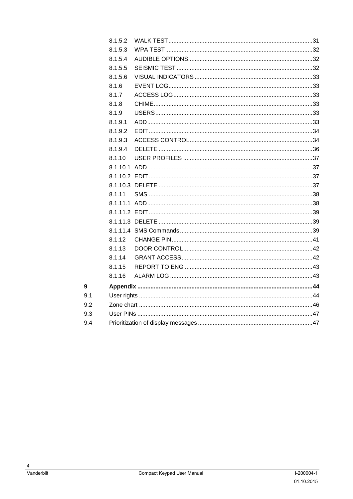|     | 8.1.5.2 |  |
|-----|---------|--|
|     | 8.1.5.3 |  |
|     | 8.1.5.4 |  |
|     | 8.1.5.5 |  |
|     | 8.1.5.6 |  |
|     | 8.1.6   |  |
|     | 8.1.7   |  |
|     | 8.1.8   |  |
|     | 8.1.9   |  |
|     | 8.1.9.1 |  |
|     | 8.1.9.2 |  |
|     | 8.1.9.3 |  |
|     | 8.1.9.4 |  |
|     | 8.1.10  |  |
|     |         |  |
|     |         |  |
|     |         |  |
|     | 8.1.11  |  |
|     |         |  |
|     |         |  |
|     |         |  |
|     |         |  |
|     | 8.1.12  |  |
|     | 8.1.13  |  |
|     | 8.1.14  |  |
|     | 8.1.15  |  |
|     | 8.1.16  |  |
| 9   |         |  |
| 9.1 |         |  |
| 9.2 |         |  |
| 9.3 |         |  |
| 9.4 |         |  |
|     |         |  |

 $\overline{9}$ 

 $\overline{4}$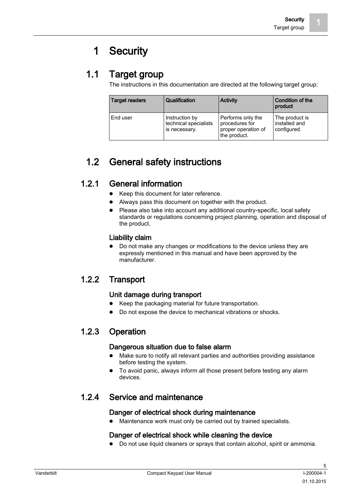# 1 Security

# <span id="page-4-1"></span><span id="page-4-0"></span>1.1 Target group

The instructions in this documentation are directed at the following target group:

| <b>Target readers</b> | Qualification                                            | <b>Activity</b>                                                            | Condition of the<br>product                    |
|-----------------------|----------------------------------------------------------|----------------------------------------------------------------------------|------------------------------------------------|
| End user              | Instruction by<br>technical specialists<br>is necessary. | Performs only the<br>procedures for<br>proper operation of<br>the product. | The product is<br>installed and<br>configured. |

# <span id="page-4-2"></span>1.2 General safety instructions

## <span id="page-4-3"></span>1.2.1 General information

- Keep this document for later reference.
- Always pass this document on together with the product.
- Please also take into account any additional country-specific, local safety standards or regulations concerning project planning, operation and disposal of the product.

#### Liability claim

 Do not make any changes or modifications to the device unless they are expressly mentioned in this manual and have been approved by the manufacturer.

## <span id="page-4-4"></span>1.2.2 Transport

#### Unit damage during transport

- Keep the packaging material for future transportation.
- Do not expose the device to mechanical vibrations or shocks.

## <span id="page-4-5"></span>1.2.3 Operation

#### Dangerous situation due to false alarm

- Make sure to notify all relevant parties and authorities providing assistance before testing the system.
- To avoid panic, always inform all those present before testing any alarm devices.

## <span id="page-4-6"></span>1.2.4 Service and maintenance

#### Danger of electrical shock during maintenance

Maintenance work must only be carried out by trained specialists.

#### Danger of electrical shock while cleaning the device

Do not use liquid cleaners or sprays that contain alcohol, spirit or ammonia.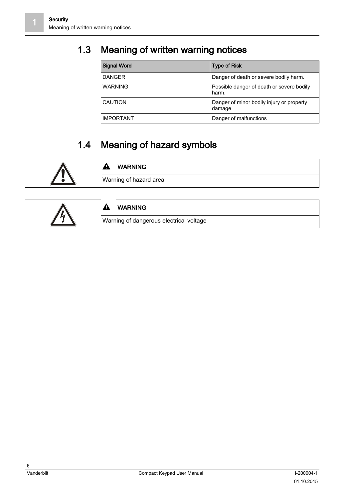# <span id="page-5-0"></span>1.3 Meaning of written warning notices

| <b>Signal Word</b> | <b>Type of Risk</b>                                 |
|--------------------|-----------------------------------------------------|
| <b>DANGER</b>      | Danger of death or severe bodily harm.              |
| <b>WARNING</b>     | Possible danger of death or severe bodily<br>harm.  |
| <b>CAUTION</b>     | Danger of minor bodily injury or property<br>damage |
| <b>IMPORTANT</b>   | Danger of malfunctions                              |

# 1.4 Meaning of hazard symbols

Warning of dangerous electrical voltage

<span id="page-5-1"></span>

| <b>WARNING</b><br>A    |
|------------------------|
| Warning of hazard area |
|                        |
| <b>WARNING</b>         |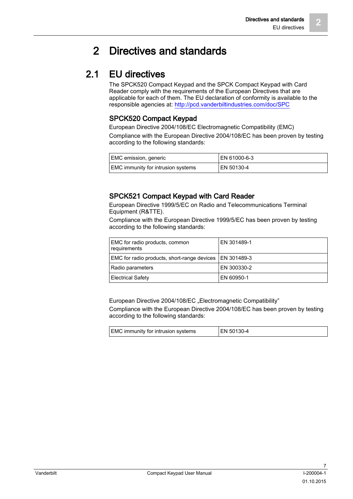# 2 Directives and standards

## <span id="page-6-1"></span><span id="page-6-0"></span>2.1 EU directives

The SPCK520 Compact Keypad and the SPCK Compact Keypad with Card Reader comply with the requirements of the European Directives that are applicable for each of them. The EU declaration of conformity is available to the responsible agencies at: <http://pcd.vanderbiltindustries.com/doc/SPC>

#### SPCK520 Compact Keypad

European Directive 2004/108/EC Electromagnetic Compatibility (EMC) Compliance with the European Directive 2004/108/EC has been proven by testing according to the following standards:

| EMC emission, generic              | EN 61000-6-3 |
|------------------------------------|--------------|
| EMC immunity for intrusion systems | LEN 50130-4  |

#### SPCK521 Compact Keypad with Card Reader

European Directive 1999/5/EC on Radio and Telecommunications Terminal Equipment (R&TTE).

Compliance with the European Directive 1999/5/EC has been proven by testing according to the following standards:

| EMC for radio products, common<br>requirements            | EN 301489-1 |
|-----------------------------------------------------------|-------------|
| EMC for radio products, short-range devices   EN 301489-3 |             |
| Radio parameters                                          | EN 300330-2 |
| <b>Electrical Safety</b>                                  | EN 60950-1  |

European Directive 2004/108/EC "Electromagnetic Compatibility"

Compliance with the European Directive 2004/108/EC has been proven by testing according to the following standards:

| <b>EMC</b> immunity for intrusion systems<br>EN 50130-4 |  |
|---------------------------------------------------------|--|
|---------------------------------------------------------|--|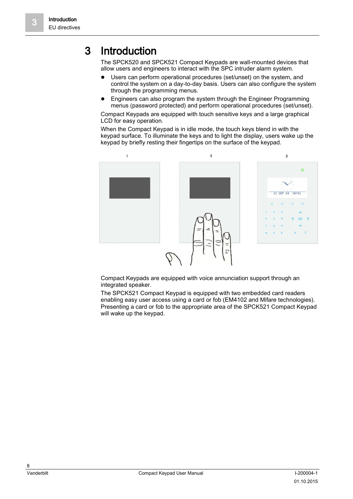# <span id="page-7-0"></span>3 Introduction

The SPCK520 and SPCK521 Compact Keypads are wall-mounted devices that allow users and engineers to interact with the SPC intruder alarm system.

- Users can perform operational procedures (set/unset) on the system, and control the system on a day-to-day basis. Users can also configure the system through the programming menus.
- Engineers can also program the system through the Engineer Programming menus (password protected) and perform operational procedures (set/unset).

Compact Keypads are equipped with touch sensitive keys and a large graphical LCD for easy operation.

When the Compact Keypad is in idle mode, the touch keys blend in with the keypad surface. To illuminate the keys and to light the display, users wake up the keypad by briefly resting their fingertips on the surface of the keypad.



Compact Keypads are equipped with voice annunciation support through an integrated speaker.

The SPCK521 Compact Keypad is equipped with two embedded card readers enabling easy user access using a card or fob (EM4102 and Mifare technologies). Presenting a card or fob to the appropriate area of the SPCK521 Compact Keypad will wake up the keypad.

8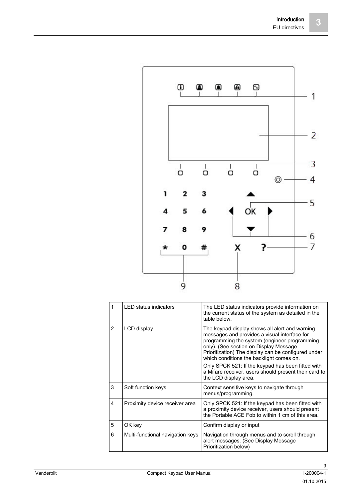

| 1             | LED status indicators            | The LED status indicators provide information on<br>the current status of the system as detailed in the<br>table below.                                                                                                                                                                     |
|---------------|----------------------------------|---------------------------------------------------------------------------------------------------------------------------------------------------------------------------------------------------------------------------------------------------------------------------------------------|
| $\mathcal{P}$ | LCD display                      | The keypad display shows all alert and warning<br>messages and provides a visual interface for<br>programming the system (engineer programming<br>only). (See section on Display Message<br>Prioritization) The display can be configured under<br>which conditions the backlight comes on. |
|               |                                  | Only SPCK 521: If the keypad has been fitted with<br>a Mifare receiver, users should present their card to<br>the LCD display area.                                                                                                                                                         |
| 3             | Soft function keys               | Context sensitive keys to navigate through<br>menus/programming.                                                                                                                                                                                                                            |
| 4             | Proximity device receiver area   | Only SPCK 521: If the keypad has been fitted with<br>a proximity device receiver, users should present<br>the Portable ACE Fob to within 1 cm of this area.                                                                                                                                 |
| 5             | OK key                           | Confirm display or input                                                                                                                                                                                                                                                                    |
| 6             | Multi-functional navigation keys | Navigation through menus and to scroll through<br>alert messages. (See Display Message<br>Prioritization below)                                                                                                                                                                             |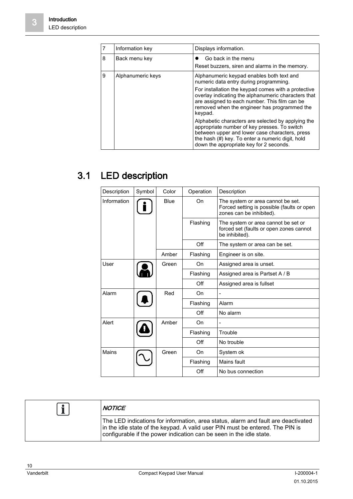|   | Information key   | Displays information.                                                                                                                                                                                                                                                                                         |
|---|-------------------|---------------------------------------------------------------------------------------------------------------------------------------------------------------------------------------------------------------------------------------------------------------------------------------------------------------|
| 8 | Back menu key     | Go back in the menu<br>Reset buzzers, siren and alarms in the memory.                                                                                                                                                                                                                                         |
| 9 | Alphanumeric keys | Alphanumeric keypad enables both text and<br>numeric data entry during programming.<br>For installation the keypad comes with a protective<br>overlay indicating the alphanumeric characters that<br>are assigned to each number. This film can be<br>removed when the engineer has programmed the<br>keypad. |
|   |                   | Alphabetic characters are selected by applying the<br>appropriate number of key presses. To switch<br>between upper and lower case characters, press<br>the hash (#) key. To enter a numeric digit, hold<br>down the appropriate key for 2 seconds.                                                           |

# <span id="page-9-0"></span>3.1 LED description

| Description | Symbol | Color | Operation | Description                                                                                                 |
|-------------|--------|-------|-----------|-------------------------------------------------------------------------------------------------------------|
| Information |        | Blue  | On        | The system or area cannot be set.<br>Forced setting is possible (faults or open<br>zones can be inhibited). |
|             |        |       | Flashing  | The system or area cannot be set or<br>forced set (faults or open zones cannot<br>be inhibited).            |
|             |        |       | Off       | The system or area can be set.                                                                              |
|             |        | Amber | Flashing  | Engineer is on site.                                                                                        |
| User        |        | Green | On        | Assigned area is unset.                                                                                     |
|             |        |       | Flashing  | Assigned area is Partset A / B                                                                              |
|             |        |       | Off       | Assigned area is fullset                                                                                    |
| Alarm       |        | Red   | On        |                                                                                                             |
|             |        |       | Flashing  | Alarm                                                                                                       |
|             |        |       | Off       | No alarm                                                                                                    |
| Alert       |        | Amber | On        |                                                                                                             |
|             |        |       | Flashing  | Trouble                                                                                                     |
|             |        |       | Off       | No trouble                                                                                                  |
| Mains       |        | Green | On        | System ok                                                                                                   |
|             |        |       | Flashing  | Mains fault                                                                                                 |
|             |        |       | Off       | No bus connection                                                                                           |

 $\boxed{\mathbf{i}}$ **NOTICE** The LED indications for information, area status, alarm and fault are deactivated in the idle state of the keypad. A valid user PIN must be entered. The PIN is configurable if the power indication can be seen in the idle state.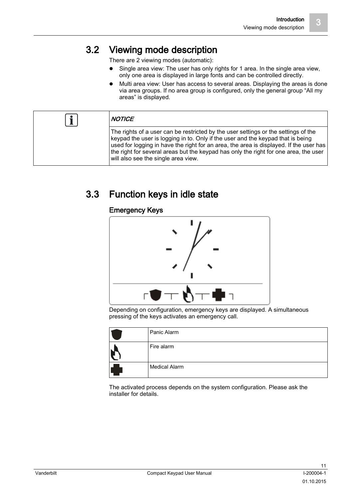# <span id="page-10-0"></span>3.2 Viewing mode description

There are 2 viewing modes (automatic):

- Single area view: The user has only rights for 1 area. In the single area view, only one area is displayed in large fonts and can be controlled directly.
- Multi area view: User has access to several areas. Displaying the areas is done via area groups. If no area group is configured, only the general group "All my areas" is displayed.

| <b>NOTICE</b>                                                                                                                                                                                                                                                                                                                                                                                  |
|------------------------------------------------------------------------------------------------------------------------------------------------------------------------------------------------------------------------------------------------------------------------------------------------------------------------------------------------------------------------------------------------|
| The rights of a user can be restricted by the user settings or the settings of the<br>keypad the user is logging in to. Only if the user and the keypad that is being<br>used for logging in have the right for an area, the area is displayed. If the user has<br>the right for several areas but the keypad has only the right for one area, the user<br>will also see the single area view. |

# <span id="page-10-1"></span>3.3 Function keys in idle state

#### Emergency Keys



Depending on configuration, emergency keys are displayed. A simultaneous pressing of the keys activates an emergency call.

| Panic Alarm          |
|----------------------|
| Fire alarm           |
| <b>Medical Alarm</b> |

The activated process depends on the system configuration. Please ask the installer for details.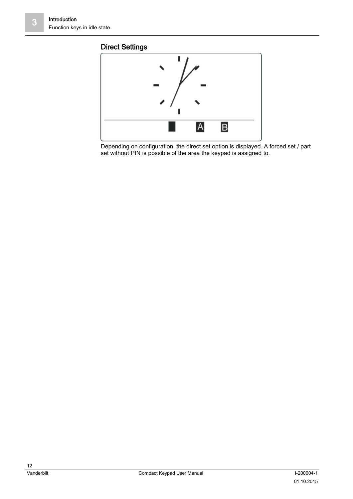#### Direct Settings



Depending on configuration, the direct set option is displayed. A forced set / part set without PIN is possible of the area the keypad is assigned to.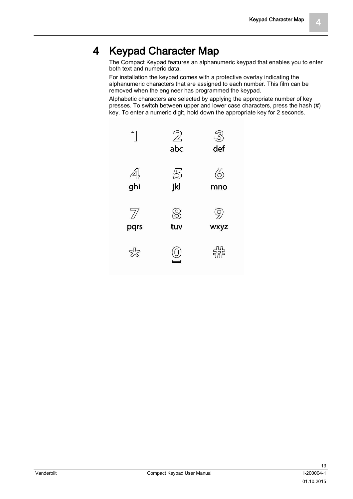# <span id="page-12-0"></span>4 Keypad Character Map

The Compact Keypad features an alphanumeric keypad that enables you to enter both text and numeric data.

For installation the keypad comes with a protective overlay indicating the alphanumeric characters that are assigned to each number. This film can be removed when the engineer has programmed the keypad.

Alphabetic characters are selected by applying the appropriate number of key presses. To switch between upper and lower case characters, press the hash (#) key. To enter a numeric digit, hold down the appropriate key for 2 seconds.

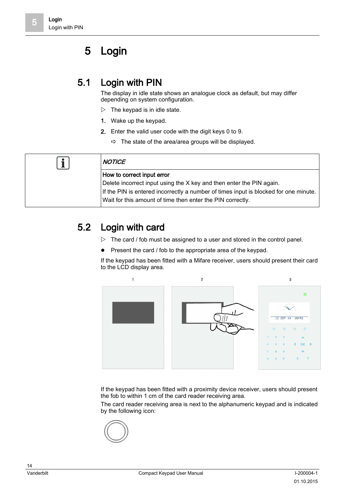# <span id="page-13-0"></span>5 Login

# <span id="page-13-1"></span>5.1 Login with PIN

The display in idle state shows an analogue clock as default, but may differ depending on system configuration.

- $\triangleright$  The keypad is in idle state.
- 1. Wake up the keypad.
- 2. Enter the valid user code with the digit keys 0 to 9.
	- $\Rightarrow$  The state of the area/area groups will be displayed.

| <b>NOTICE</b>                                                                        |  |
|--------------------------------------------------------------------------------------|--|
| How to correct input error                                                           |  |
| Delete incorrect input using the X key and then enter the PIN again.                 |  |
| If the PIN is entered incorrectly a number of times input is blocked for one minute. |  |
| Wait for this amount of time then enter the PIN correctly.                           |  |

# <span id="page-13-2"></span>5.2 Login with card

- $\triangleright$  The card / fob must be assigned to a user and stored in the control panel.
- Present the card / fob to the appropriate area of the keypad.

If the keypad has been fitted with a Mifare receiver, users should present their card to the LCD display area.



If the keypad has been fitted with a proximity device receiver, users should present the fob to within 1 cm of the card reader receiving area.

The card reader receiving area is next to the alphanumeric keypad and is indicated by the following icon:

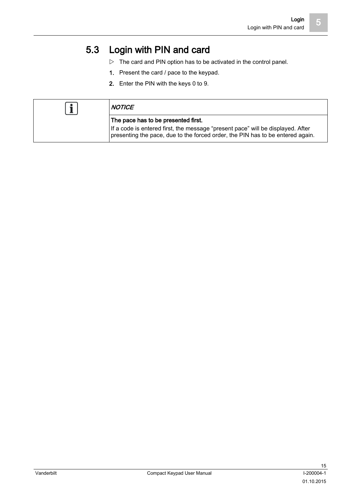# <span id="page-14-0"></span>5.3 Login with PIN and card

- $\triangleright$  The card and PIN option has to be activated in the control panel.
- 1. Present the card / pace to the keypad.
- 2. Enter the PIN with the keys 0 to 9.

| <b>NOTICE</b>                                                                                                                                                                                            |  |
|----------------------------------------------------------------------------------------------------------------------------------------------------------------------------------------------------------|--|
| The pace has to be presented first.<br>If a code is entered first, the message "present pace" will be displayed. After<br>presenting the pace, due to the forced order, the PIN has to be entered again. |  |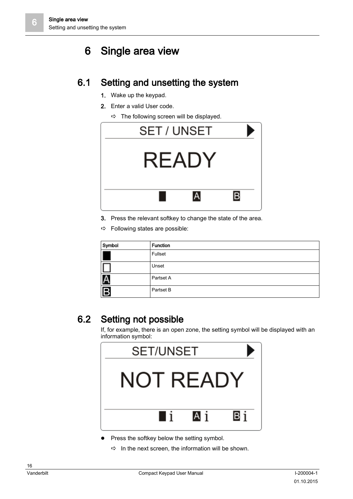# <span id="page-15-0"></span>6 Single area view

## <span id="page-15-1"></span>6.1 Setting and unsetting the system

- 1. Wake up the keypad.
- 2. Enter a valid User code.
	- $\Rightarrow$  The following screen will be displayed.



- 3. Press the relevant softkey to change the state of the area.
- $\Rightarrow$  Following states are possible:

| Symbol                  | <b>Function</b> |
|-------------------------|-----------------|
|                         | Fullset         |
|                         | Unset           |
| Ą                       | Partset A       |
| $\overline{\mathsf{B}}$ | Partset B       |

# <span id="page-15-2"></span>6.2 Setting not possible

If, for example, there is an open zone, the setting symbol will be displayed with an information symbol:



- Press the softkey below the setting symbol.
	- $\Rightarrow$  In the next screen, the information will be shown.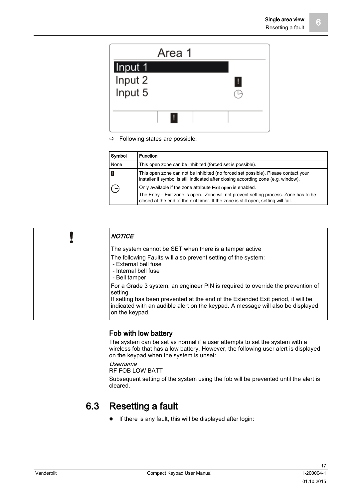

 $\Rightarrow$  Following states are possible:

| Symbol | <b>Function</b>                                                                                                                                                                                                                                 |  |
|--------|-------------------------------------------------------------------------------------------------------------------------------------------------------------------------------------------------------------------------------------------------|--|
| None   | This open zone can be inhibited (forced set is possible).                                                                                                                                                                                       |  |
|        | This open zone can not be inhibited (no forced set possible). Please contact your<br>installer if symbol is still indicated after closing according zone (e.g. window).                                                                         |  |
|        | Only available if the zone attribute <b>Exit open</b> is enabled.<br>The Entry – Exit zone is open. Zone will not prevent setting process. Zone has to be<br>closed at the end of the exit timer. If the zone is still open, setting will fail. |  |

| <b>NOTICE</b>                                                                                                                                                                                                                                                                                         |
|-------------------------------------------------------------------------------------------------------------------------------------------------------------------------------------------------------------------------------------------------------------------------------------------------------|
| The system cannot be SET when there is a tamper active<br>The following Faults will also prevent setting of the system:<br>- External bell fuse<br>- Internal bell fuse                                                                                                                               |
| - Bell tamper<br>For a Grade 3 system, an engineer PIN is required to override the prevention of<br>setting.<br>If setting has been prevented at the end of the Extended Exit period, it will be<br>indicated with an audible alert on the keypad. A message will also be displayed<br>on the keypad. |

#### Fob with low battery

The system can be set as normal if a user attempts to set the system with a wireless fob that has a low battery. However, the following user alert is displayed on the keypad when the system is unset:

Username

```
RF FOB LOW BATT
```
Subsequent setting of the system using the fob will be prevented until the alert is cleared.

# <span id="page-16-0"></span>6.3 Resetting a fault

If there is any fault, this will be displayed after login: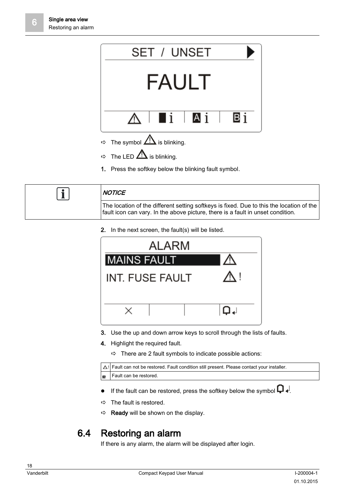

- $\Rightarrow$  The symbol  $\overline{\triangle}$  is blinking.
- $\Rightarrow$  The LED  $\overline{\triangle}$  is blinking.
- 1. Press the softkey below the blinking fault symbol.



2. In the next screen, the fault(s) will be listed.



- 3. Use the up and down arrow keys to scroll through the lists of faults.
- 4. Highlight the required fault.
	- $\Rightarrow$  There are 2 fault symbols to indicate possible actions:

∆!| Fault can not be restored. Fault condition still present. Please contact your installer. Fault can be restored.  $\overline{\mathbb{A}}$ 

- If the fault can be restored, press the softkey below the symbol  $\Box$ .
- $\Rightarrow$  The fault is restored.
- $\Rightarrow$  **Ready** will be shown on the display.

## <span id="page-17-0"></span>6.4 Restoring an alarm

If there is any alarm, the alarm will be displayed after login.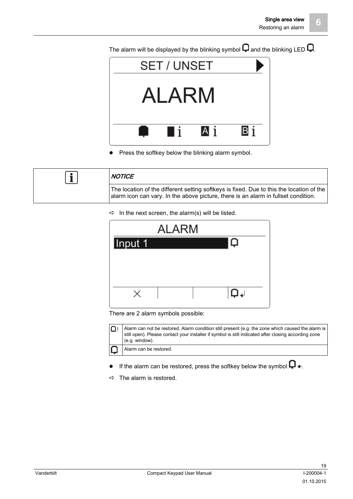SET / UNSET **ALARM** Аi Βi l i

The alarm will be displayed by the blinking symbol  $\Box$  and the blinking LED  $\Box$ .

• Press the softkey below the blinking alarm symbol.



 $\Rightarrow$  In the next screen, the alarm(s) will be listed.

|         | <b>ALARM</b> |                |
|---------|--------------|----------------|
| Input 1 |              | ۵              |
|         |              |                |
|         |              |                |
| ×       |              | $\overline{u}$ |

There are 2 alarm symbols possible:

| Alarm can not be restored. Alarm condition still present (e.g. the zone which caused the alarm is<br>still open). Please contact your installer if symbol is still indicated after closing according zone<br>(e.g. window). |
|-----------------------------------------------------------------------------------------------------------------------------------------------------------------------------------------------------------------------------|
| Alarm can be restored.                                                                                                                                                                                                      |

- **If the alarm can be restored, press the softkey below the symbol**  $\bigcap_{i=1}^n$ .
- $\Rightarrow$  The alarm is restored.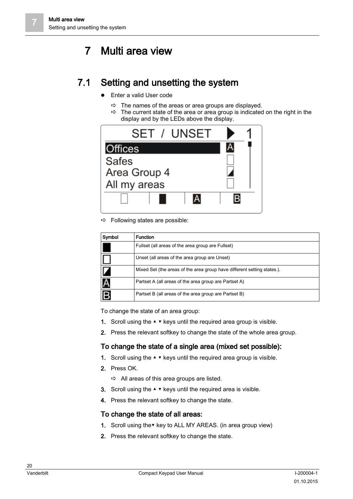# <span id="page-19-0"></span>7 Multi area view

## <span id="page-19-1"></span>7.1 Setting and unsetting the system

- Enter a valid User code
	- $\Rightarrow$  The names of the areas or area groups are displayed.
	- $\Rightarrow$  The current state of the area or area group is indicated on the right in the display and by the LEDs above the display.



 $\Rightarrow$  Following states are possible:

| Symbol                          | <b>Function</b>                                                         |  |
|---------------------------------|-------------------------------------------------------------------------|--|
|                                 | Fullset (all areas of the area group are Fullset)                       |  |
|                                 | Unset (all areas of the area group are Unset)                           |  |
|                                 | Mixed Set (the areas of the area group have different setting states.). |  |
| $\frac{\mathsf{A}}{\mathsf{B}}$ | Partset A (all areas of the area group are Partset A)                   |  |
|                                 | Partset B (all areas of the area group are Partset B)                   |  |

To change the state of an area group:

- 1. Scroll using the ▲ ▼ keys until the required area group is visible.
- 2. Press the relevant softkey to change the state of the whole area group.

#### To change the state of a single area (mixed set possible):

- 1. Scroll using the  $\blacktriangle$   $\blacktriangledown$  keys until the required area group is visible.
- 2. Press OK.
	- $\Rightarrow$  All areas of this area groups are listed.
- 3. Scroll using the ▲ ▼ keys until the required area is visible.
- 4. Press the relevant softkey to change the state.

#### To change the state of all areas:

- 1. Scroll using the▼ key to ALL MY AREAS. (in area group view)
- 2. Press the relevant softkey to change the state.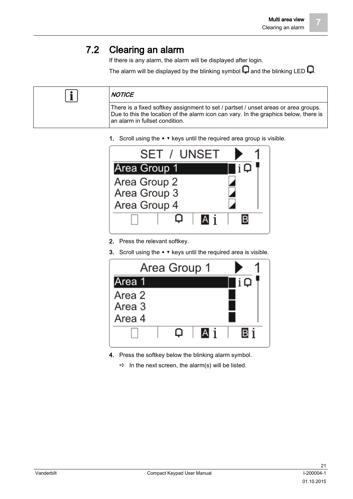## 7.2 Clearing an alarm

If there is any alarm, the alarm will be displayed after login.

The alarm will be displayed by the blinking symbol  $\Box$  and the blinking LED  $\Box$ .

<span id="page-20-0"></span>

| <b>NOTICE</b>                                                                                                                                                                                                |
|--------------------------------------------------------------------------------------------------------------------------------------------------------------------------------------------------------------|
| There is a fixed softkey assignment to set / partset / unset areas or area groups.<br>Due to this the location of the alarm icon can vary. In the graphics below, there is<br>an alarm in fullset condition. |

1. Scroll using the ▲ ▼ keys until the required area group is visible.

| SET / UNSET  |    |
|--------------|----|
| Area Group 1 |    |
| Area Group 2 |    |
| Area Group 3 |    |
| Area Group 4 |    |
| IAI î        | Bl |
|              |    |

- 2. Press the relevant softkey.
- 3. Scroll using the ▲ ▼ keys until the required area is visible.

| Area Group 1 |              |
|--------------|--------------|
| Area 1       | li۵          |
| Area 2       |              |
| Area 3       |              |
| Area 4       |              |
|              | Βi<br>lAl fi |

- 4. Press the softkey below the blinking alarm symbol.
	- $\Rightarrow$  In the next screen, the alarm(s) will be listed.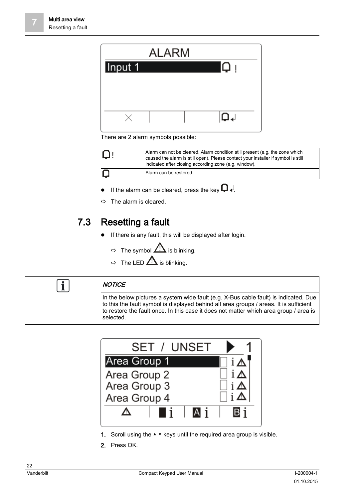| <b>ALARM</b> |      |
|--------------|------|
| Input 1      | IQ ! |
|              |      |
|              |      |
|              | لە 1 |

There are 2 alarm symbols possible:

| $\Box$ | Alarm can not be cleared. Alarm condition still present (e.g. the zone which<br>caused the alarm is still open). Please contact your installer if symbol is still<br>indicated after closing according zone (e.g. window). |
|--------|----------------------------------------------------------------------------------------------------------------------------------------------------------------------------------------------------------------------------|
|        | Alarm can be restored.                                                                                                                                                                                                     |

- If the alarm can be cleared, press the key  $\bigcap_{i=1}^n$ .
- $\Rightarrow$  The alarm is cleared.

# <span id="page-21-0"></span>7.3 Resetting a fault

- If there is any fault, this will be displayed after login.
	- $\Rightarrow$  The symbol  $\overline{\mathbf{A}}$  is blinking.
	- $\Rightarrow$  The LED  $\overline{\Delta}$  is blinking.

| <b>NOTICE</b>                                                                                                                                                                                                                                                                        |
|--------------------------------------------------------------------------------------------------------------------------------------------------------------------------------------------------------------------------------------------------------------------------------------|
| In the below pictures a system wide fault (e.g. X-Bus cable fault) is indicated. Due<br>to this the fault symbol is displayed behind all area groups / areas. It is sufficient<br>to restore the fault once. In this case it does not matter which area group / area is<br>selected. |



- 1. Scroll using the ▲ ▼ keys until the required area group is visible.
- 2. Press OK.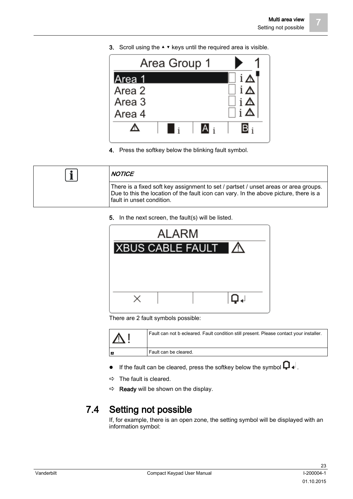3. Scroll using the  $\blacktriangle$   $\blacktriangledown$  keys until the required area is visible.



4. Press the softkey below the blinking fault symbol.

| <b>NOTICE</b>                                                                                                                                                                                             |
|-----------------------------------------------------------------------------------------------------------------------------------------------------------------------------------------------------------|
| There is a fixed soft key assignment to set / partset / unset areas or area groups.<br>Due to this the location of the fault icon can vary. In the above picture, there is a<br>fault in unset condition. |

5. In the next screen, the fault(s) will be listed.



There are 2 fault symbols possible:

| $ \sqrt{N} $ | Fault can not b ecleared. Fault condition still present. Please contact your installer. |
|--------------|-----------------------------------------------------------------------------------------|
| ∣∆           | Fault can be cleared.                                                                   |

- If the fault can be cleared, press the softkey below the symbol  $\Box$ .
- $\Rightarrow$  The fault is cleared.
- $\Rightarrow$  **Ready** will be shown on the display.

## <span id="page-22-0"></span>7.4 Setting not possible

If, for example, there is an open zone, the setting symbol will be displayed with an information symbol: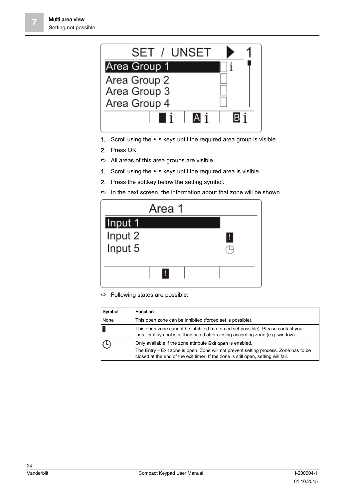

- 1. Scroll using the ▲ ▼ keys until the required area group is visible.
- 2. Press OK.
- $\Rightarrow$  All areas of this area groups are visible.
- 1. Scroll using the ▲ ▼ keys until the required area is visible.
- 2. Press the softkey below the setting symbol.
- $\Rightarrow$  In the next screen, the information about that zone will be shown.

|         | Area 1 |  |   |
|---------|--------|--|---|
| Input 1 |        |  |   |
| Input 2 |        |  | μ |
| Input 5 |        |  |   |
|         |        |  |   |
|         | Ш      |  |   |
|         |        |  |   |

 $\Rightarrow$  Following states are possible:

| Symbol | Function                                                                                                                                                                                                                                 |
|--------|------------------------------------------------------------------------------------------------------------------------------------------------------------------------------------------------------------------------------------------|
| None   | This open zone can be inhibited (forced set is possible).                                                                                                                                                                                |
|        | This open zone cannot be inhibited (no forced set possible). Please contact your<br>installer if symbol is still indicated after closing according zone (e.g. window).                                                                   |
|        | Only available if the zone attribute Exit open is enabled.<br>The Entry – Exit zone is open. Zone will not prevent setting process. Zone has to be<br>closed at the end of the exit timer. If the zone is still open, setting will fail. |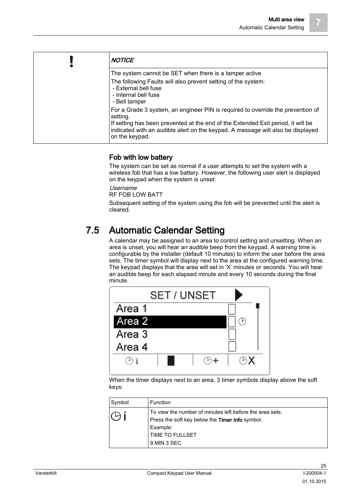| <b>NOTICE</b>                                                                                                                                                                                                                                                                        |
|--------------------------------------------------------------------------------------------------------------------------------------------------------------------------------------------------------------------------------------------------------------------------------------|
| The system cannot be SET when there is a tamper active                                                                                                                                                                                                                               |
| The following Faults will also prevent setting of the system:<br>- External bell fuse<br>- Internal bell fuse<br>- Bell tamper                                                                                                                                                       |
| For a Grade 3 system, an engineer PIN is required to override the prevention of<br>setting.<br>If setting has been prevented at the end of the Extended Exit period, it will be<br>indicated with an audible alert on the keypad. A message will also be displayed<br>on the keypad. |

#### Fob with low battery

The system can be set as normal if a user attempts to set the system with a wireless fob that has a low battery. However, the following user alert is displayed on the keypad when the system is unset:

Username

RF FOB LOW BATT

Subsequent setting of the system using the fob will be prevented until the alert is cleared.

## <span id="page-24-0"></span>7.5 Automatic Calendar Setting

A calendar may be assigned to an area to control setting and unsetting. When an area is unset, you will hear an audible beep from the keypad. A warning time is configurable by the installer (default 10 minutes) to inform the user before the area sets. The timer symbol will display next to the area at the configured warning time. The keypad displays that the area will set in 'X' minutes or seconds. You will hear an audible beep for each elapsed minute and every 10 seconds during the final minute.



When the timer displays next to an area, 3 timer symbols display above the soft keys:

| Symbol | Function                                                                                                                                                         |
|--------|------------------------------------------------------------------------------------------------------------------------------------------------------------------|
|        | To view the number of minutes left before the area sets:<br>Press the soft key below the <b>Timer Info</b> symbol.<br>Example:<br>TIME TO FULLSET<br>9 MIN 3 SEC |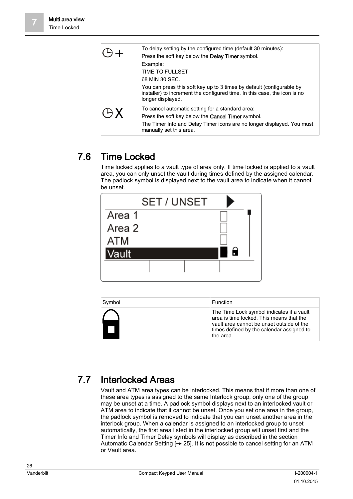| To delay setting by the configured time (default 30 minutes):<br>Press the soft key below the <b>Delay Timer</b> symbol.                                                |
|-------------------------------------------------------------------------------------------------------------------------------------------------------------------------|
| Example:                                                                                                                                                                |
| TIME TO FULLSET                                                                                                                                                         |
| 68 MIN 30 SEC.                                                                                                                                                          |
| You can press this soft key up to 3 times by default (configurable by<br>installer) to increment the configured time. In this case, the icon is no<br>longer displayed. |
| To cancel automatic setting for a standard area:                                                                                                                        |
| Press the soft key below the <b>Cancel Timer</b> symbol.                                                                                                                |
| The Timer Info and Delay Timer icons are no longer displayed. You must<br>manually set this area.                                                                       |

# <span id="page-25-0"></span>7.6 Time Locked

Time locked applies to a vault type of area only. If time locked is applied to a vault area, you can only unset the vault during times defined by the assigned calendar. The padlock symbol is displayed next to the vault area to indicate when it cannot be unset.



| Symbol | Function                                                                                                                                                                                     |
|--------|----------------------------------------------------------------------------------------------------------------------------------------------------------------------------------------------|
|        | The Time Lock symbol indicates if a vault<br>area is time locked. This means that the<br>vault area cannot be unset outside of the<br>times defined by the calendar assigned to<br>the area. |

# <span id="page-25-1"></span>7.7 Interlocked Areas

Vault and ATM area types can be interlocked. This means that if more than one of these area types is assigned to the same Interlock group, only one of the group may be unset at a time. A padlock symbol displays next to an interlocked vault or ATM area to indicate that it cannot be unset. Once you set one area in the group, the padlock symbol is removed to indicate that you can unset another area in the interlock group. When a calendar is assigned to an interlocked group to unset automatically, the first area listed in the interlocked group will unset first and the Timer Info and Timer Delay symbols will display as described in the section Automatic Calendar Setting  $[\rightarrow 25]$  $[\rightarrow 25]$ . It is not possible to cancel setting for an ATM or Vault area.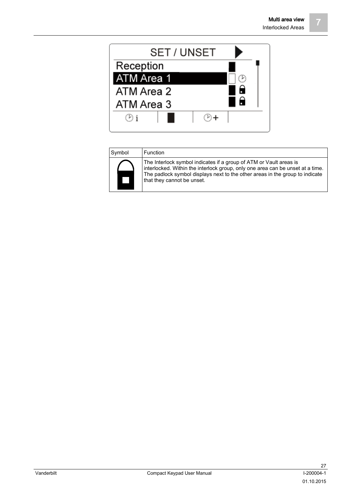

| Symbol | Function                                                                                                                                                                                                                                                           |
|--------|--------------------------------------------------------------------------------------------------------------------------------------------------------------------------------------------------------------------------------------------------------------------|
|        | The Interlock symbol indicates if a group of ATM or Vault areas is<br>interlocked. Within the interlock group, only one area can be unset at a time.<br>The padlock symbol displays next to the other areas in the group to indicate<br>that they cannot be unset. |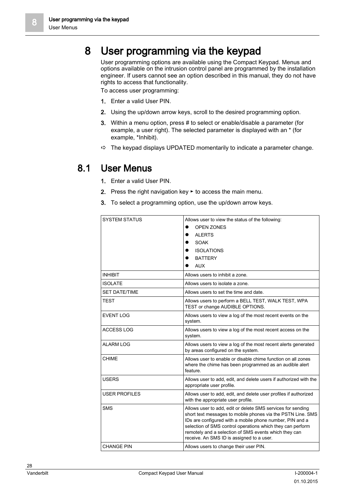# <span id="page-27-0"></span>8 User programming via the keypad

User programming options are available using the Compact Keypad. Menus and options available on the intrusion control panel are programmed by the installation engineer. If users cannot see an option described in this manual, they do not have rights to access that functionality.

To access user programming:

- 1. Enter a valid User PIN.
- 2. Using the up/down arrow keys, scroll to the desired programming option.
- 3. Within a menu option, press # to select or enable/disable a parameter (for example, a user right). The selected parameter is displayed with an \* (for example, \*Inhibit).
- $\Rightarrow$  The keypad displays UPDATED momentarily to indicate a parameter change.

## <span id="page-27-1"></span>8.1 User Menus

- 1. Enter a valid User PIN.
- 2. Press the right navigation key ► to access the main menu.
- 3. To select a programming option, use the up/down arrow keys.

| <b>SYSTEM STATUS</b> | Allows user to view the status of the following:                                                                                                                                                                                                                                                                                                           |
|----------------------|------------------------------------------------------------------------------------------------------------------------------------------------------------------------------------------------------------------------------------------------------------------------------------------------------------------------------------------------------------|
|                      | <b>OPEN ZONES</b>                                                                                                                                                                                                                                                                                                                                          |
|                      | <b>ALERTS</b>                                                                                                                                                                                                                                                                                                                                              |
|                      | <b>SOAK</b>                                                                                                                                                                                                                                                                                                                                                |
|                      | <b>ISOLATIONS</b>                                                                                                                                                                                                                                                                                                                                          |
|                      | <b>BATTERY</b>                                                                                                                                                                                                                                                                                                                                             |
|                      | <b>AUX</b>                                                                                                                                                                                                                                                                                                                                                 |
| <b>INHIBIT</b>       | Allows users to inhibit a zone.                                                                                                                                                                                                                                                                                                                            |
| <b>ISOLATE</b>       | Allows users to isolate a zone.                                                                                                                                                                                                                                                                                                                            |
| <b>SET DATE/TIME</b> | Allows users to set the time and date.                                                                                                                                                                                                                                                                                                                     |
| <b>TEST</b>          | Allows users to perform a BELL TEST, WALK TEST, WPA<br>TEST or change AUDIBLE OPTIONS.                                                                                                                                                                                                                                                                     |
| <b>EVENT LOG</b>     | Allows users to view a log of the most recent events on the<br>system.                                                                                                                                                                                                                                                                                     |
| ACCESS LOG           | Allows users to view a log of the most recent access on the<br>system.                                                                                                                                                                                                                                                                                     |
| <b>ALARM LOG</b>     | Allows users to view a log of the most recent alerts generated<br>by areas configured on the system.                                                                                                                                                                                                                                                       |
| <b>CHIME</b>         | Allows user to enable or disable chime function on all zones<br>where the chime has been programmed as an audible alert<br>feature.                                                                                                                                                                                                                        |
| <b>USERS</b>         | Allows user to add, edit, and delete users if authorized with the<br>appropriate user profile.                                                                                                                                                                                                                                                             |
| <b>USER PROFILES</b> | Allows user to add, edit, and delete user profiles if authorized<br>with the appropriate user profile.                                                                                                                                                                                                                                                     |
| <b>SMS</b>           | Allows user to add, edit or delete SMS services for sending<br>short text messages to mobile phones via the PSTN Line. SMS<br>IDs are configured with a mobile phone number, PIN and a<br>selection of SMS control operations which they can perform<br>remotely and a selection of SMS events which they can<br>receive. An SMS ID is assigned to a user. |
| <b>CHANGE PIN</b>    | Allows users to change their user PIN.                                                                                                                                                                                                                                                                                                                     |

28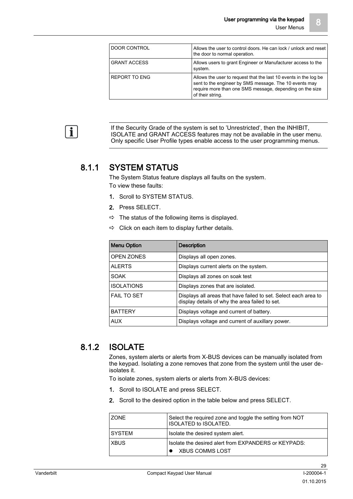| DOOR CONTROL        | Allows the user to control doors. He can lock / unlock and reset<br>the door to normal operation.                                                                                                          |
|---------------------|------------------------------------------------------------------------------------------------------------------------------------------------------------------------------------------------------------|
| <b>GRANT ACCESS</b> | Allows users to grant Engineer or Manufacturer access to the<br>system.                                                                                                                                    |
| REPORT TO ENG       | Allows the user to request that the last 10 events in the log be<br>sent to the engineer by SMS message. The 10 events may<br>require more than one SMS message, depending on the size<br>of their string. |

If the Security Grade of the system is set to 'Unrestricted', then the INHIBIT, ISOLATE and GRANT ACCESS features may not be available in the user menu. Only specific User Profile types enable access to the user programming menus.

## 8.1.1 SYSTEM STATUS

The System Status feature displays all faults on the system. To view these faults:

- 1. Scroll to SYSTEM STATUS.
- 2. Press SELECT.
- $\Rightarrow$  The status of the following items is displayed.
- $\Rightarrow$  Click on each item to display further details.

| <b>Menu Option</b> | <b>Description</b>                                                                                                |
|--------------------|-------------------------------------------------------------------------------------------------------------------|
| <b>OPEN ZONES</b>  | Displays all open zones.                                                                                          |
| <b>ALERTS</b>      | Displays current alerts on the system.                                                                            |
| <b>SOAK</b>        | Displays all zones on soak test                                                                                   |
| <b>ISOLATIONS</b>  | Displays zones that are isolated.                                                                                 |
| <b>FAIL TO SET</b> | Displays all areas that have failed to set. Select each area to<br>display details of why the area failed to set. |
| <b>BATTERY</b>     | Displays voltage and current of battery.                                                                          |
| <b>AUX</b>         | Displays voltage and current of auxillary power.                                                                  |

## <span id="page-28-1"></span>8.1.2 ISOLATE

Zones, system alerts or alerts from X-BUS devices can be manually isolated from the keypad. Isolating a zone removes that zone from the system until the user deisolates it.

To isolate zones, system alerts or alerts from X-BUS devices:

- 1. Scroll to ISOLATE and press SELECT.
- 2. Scroll to the desired option in the table below and press SELECT.

| <b>ZONE</b>   | Select the required zone and toggle the setting from NOT<br>ISOLATED to ISOLATED. |
|---------------|-----------------------------------------------------------------------------------|
| <b>SYSTEM</b> | Isolate the desired system alert.                                                 |
| <b>XBUS</b>   | Isolate the desired alert from EXPANDERS or KEYPADS:<br>XBUS COMMS LOST           |

<span id="page-28-0"></span> $\mathbf i$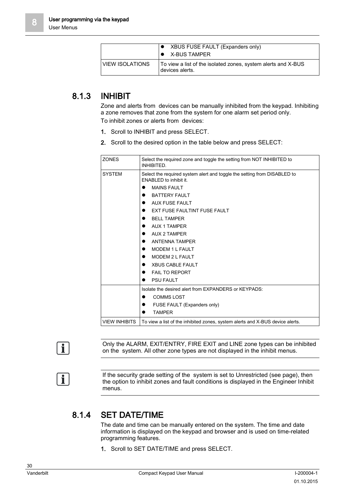|                   | ● XBUS FUSE FAULT (Expanders only)<br>$\bullet$ X-BUS TAMPER                     |  |
|-------------------|----------------------------------------------------------------------------------|--|
| l VIEW ISOLATIONS | To view a list of the isolated zones, system alerts and X-BUS<br>devices alerts. |  |

## <span id="page-29-0"></span>8.1.3 INHIBIT

Zone and alerts from devices can be manually inhibited from the keypad. Inhibiting a zone removes that zone from the system for one alarm set period only. To inhibit zones or alerts from devices:

- 1. Scroll to INHIBIT and press SELECT.
- 2. Scroll to the desired option in the table below and press SELECT:

| <b>ZONES</b>         | Select the required zone and toggle the setting from NOT INHIBITED to<br><b>INHIBITED</b>          |
|----------------------|----------------------------------------------------------------------------------------------------|
| <b>SYSTEM</b>        | Select the required system alert and toggle the setting from DISABLED to<br>ENABLED to inhibit it. |
|                      | <b>MAINS FAULT</b>                                                                                 |
|                      | <b>BATTERY FAULT</b>                                                                               |
|                      | <b>AUX FUSE FAULT</b>                                                                              |
|                      | EXT FUSE FAULTINT FUSE FAULT                                                                       |
|                      | <b>BELL TAMPER</b>                                                                                 |
|                      | <b>AUX 1 TAMPER</b>                                                                                |
|                      | <b>AUX 2 TAMPER</b>                                                                                |
|                      | <b>ANTENNA TAMPER</b>                                                                              |
|                      | <b>MODEM 1 L FAULT</b>                                                                             |
|                      | <b>MODEM 2 L FAULT</b>                                                                             |
|                      | <b>XBUS CABLE FAULT</b>                                                                            |
|                      | <b>FAIL TO REPORT</b>                                                                              |
|                      | <b>PSU FAULT</b>                                                                                   |
|                      | Isolate the desired alert from EXPANDERS or KEYPADS:                                               |
|                      | <b>COMMS LOST</b>                                                                                  |
|                      | FUSE FAULT (Expanders only)                                                                        |
|                      | <b>TAMPER</b>                                                                                      |
| <b>VIEW INHIBITS</b> | To view a list of the inhibited zones, system alerts and X-BUS device alerts.                      |

 $\overline{\mathbf{1}}$ 

<span id="page-29-1"></span>i

Only the ALARM, EXIT/ENTRY, FIRE EXIT and LINE zone types can be inhibited on the system. All other zone types are not displayed in the inhibit menus.

If the security grade setting of the system is set to Unrestricted (see page), then the option to inhibit zones and fault conditions is displayed in the Engineer Inhibit menus.

## 8.1.4 SET DATE/TIME

The date and time can be manually entered on the system. The time and date information is displayed on the keypad and browser and is used on time-related programming features.

1. Scroll to SET DATE/TIME and press SELECT.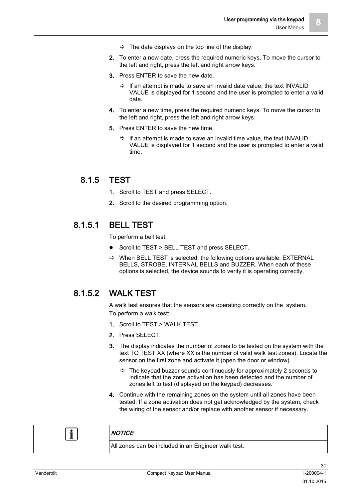- $\Rightarrow$  The date displays on the top line of the display.
- 2. To enter a new date, press the required numeric keys. To move the cursor to the left and right, press the left and right arrow keys.
- 3. Press ENTER to save the new date.
	- $\Rightarrow$  If an attempt is made to save an invalid date value, the text INVALID VALUE is displayed for 1 second and the user is prompted to enter a valid date.
- 4. To enter a new time, press the required numeric keys. To move the cursor to the left and right, press the left and right arrow keys.
- 5. Press ENTER to save the new time.
	- $\Rightarrow$  If an attempt is made to save an invalid time value, the text INVALID VALUE is displayed for 1 second and the user is prompted to enter a valid time.

#### <span id="page-30-0"></span>8.1.5 TEST

- 1. Scroll to TEST and press SELECT.
- 2. Scroll to the desired programming option.

#### <span id="page-30-1"></span>8.1.5.1 BELL TEST

To perform a bell test:

- Scroll to TEST > BELL TEST and press SELECT.
- $\Rightarrow$  When BELL TEST is selected, the following options available: EXTERNAL BELLS, STROBE, INTERNAL BELLS and BUZZER. When each of these options is selected, the device sounds to verify it is operating correctly.

#### <span id="page-30-2"></span>8.1.5.2 WALK TEST

A walk test ensures that the sensors are operating correctly on the system. To perform a walk test:

- 1. Scroll to TEST > WALK TEST.
- 2. Press SFI FCT
- 3. The display indicates the number of zones to be tested on the system with the text TO TEST XX (where XX is the number of valid walk test zones). Locate the sensor on the first zone and activate it (open the door or window).
	- $\Rightarrow$  The keypad buzzer sounds continuously for approximately 2 seconds to indicate that the zone activation has been detected and the number of zones left to test (displayed on the keypad) decreases.
- 4. Continue with the remaining zones on the system until all zones have been tested. If a zone activation does not get acknowledged by the system, check the wiring of the sensor and/or replace with another sensor if necessary.

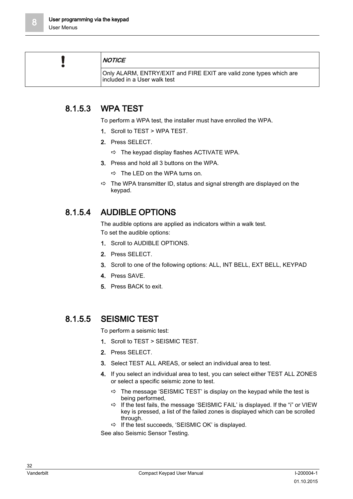<span id="page-31-0"></span>

| <b>NOTICE</b>                                                                                         |
|-------------------------------------------------------------------------------------------------------|
| Only ALARM, ENTRY/EXIT and FIRE EXIT are valid zone types which are<br>l included in a User walk test |

## 8.1.5.3 WPA TEST

To perform a WPA test, the installer must have enrolled the WPA.

- 1. Scroll to TEST > WPA TEST.
- 2. Press SELECT.
	- $\Rightarrow$  The keypad display flashes ACTIVATE WPA.
- 3. Press and hold all 3 buttons on the WPA.
	- The LED on the WPA turns on.
- $\Rightarrow$  The WPA transmitter ID, status and signal strength are displayed on the keypad.

## <span id="page-31-1"></span>8.1.5.4 AUDIBLE OPTIONS

The audible options are applied as indicators within a walk test. To set the audible options:

- 1. Scroll to AUDIBLE OPTIONS.
- 2. Press SELECT.
- 3. Scroll to one of the following options: ALL, INT BELL, EXT BELL, KEYPAD
- 4. Press SAVE.
- 5. Press BACK to exit.

## <span id="page-31-2"></span>8.1.5.5 SEISMIC TEST

To perform a seismic test:

- 1. Scroll to TEST > SEISMIC TEST.
- 2. Press SELECT.
- 3. Select TEST ALL AREAS, or select an individual area to test.
- 4. If you select an individual area to test, you can select either TEST ALL ZONES or select a specific seismic zone to test.
	- $\Rightarrow$  The message 'SEISMIC TEST' is display on the keypad while the test is being performed,
	- $\Rightarrow$  If the test fails, the message 'SEISMIC FAIL' is displayed. If the "i" or VIEW key is pressed, a list of the failed zones is displayed which can be scrolled through.
	- $\Rightarrow$  If the test succeeds, 'SEISMIC OK' is displayed.

See also Seismic Sensor Testing.

8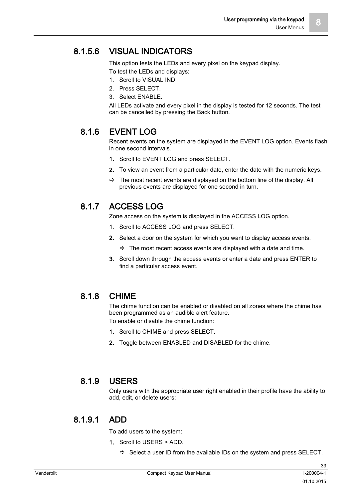### <span id="page-32-0"></span>8.1.5.6 VISUAL INDICATORS

This option tests the LEDs and every pixel on the keypad display.

- To test the LEDs and displays:
- 1. Scroll to VISUAL IND.
- 2. Press SELECT.
- 3. Select ENABLE.

All LEDs activate and every pixel in the display is tested for 12 seconds. The test can be cancelled by pressing the Back button.

## <span id="page-32-1"></span>8.1.6 EVENT LOG

Recent events on the system are displayed in the EVENT LOG option. Events flash in one second intervals.

- 1. Scroll to EVENT LOG and press SELECT.
- 2. To view an event from a particular date, enter the date with the numeric keys.
- $\Rightarrow$  The most recent events are displayed on the bottom line of the display. All previous events are displayed for one second in turn.

## <span id="page-32-2"></span>8.1.7 ACCESS LOG

Zone access on the system is displayed in the ACCESS LOG option.

- 1. Scroll to ACCESS LOG and press SELECT.
- 2. Select a door on the system for which you want to display access events.
	- $\Rightarrow$  The most recent access events are displayed with a date and time.
- 3. Scroll down through the access events or enter a date and press ENTER to find a particular access event.

#### <span id="page-32-3"></span>8.1.8 CHIME

The chime function can be enabled or disabled on all zones where the chime has been programmed as an audible alert feature.

To enable or disable the chime function:

- 1. Scroll to CHIME and press SELECT.
- 2. Toggle between ENABLED and DISABLED for the chime.

#### <span id="page-32-4"></span>8.1.9 USERS

Only users with the appropriate user right enabled in their profile have the ability to add, edit, or delete users:

#### <span id="page-32-5"></span>8.1.9.1 ADD

To add users to the system:

- 1. Scroll to USERS > ADD.
	- $\Rightarrow$  Select a user ID from the available IDs on the system and press SELECT.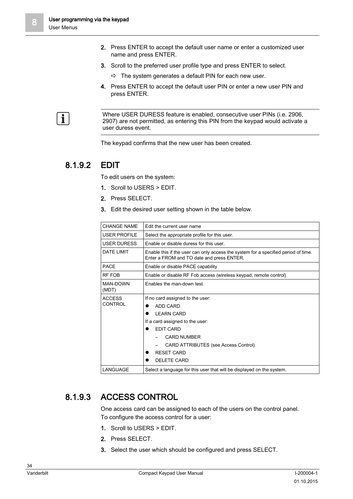$\overline{\mathbf{i}}$ 

- 3. Scroll to the preferred user profile type and press ENTER to select.
	- $\Rightarrow$  The system generates a default PIN for each new user.
- 4. Press ENTER to accept the default user PIN or enter a new user PIN and press ENTER.

Where USER DURESS feature is enabled, consecutive user PINs (i.e. 2906, 2907) are not permitted, as entering this PIN from the keypad would activate a user duress event.

The keypad confirms that the new user has been created.

#### <span id="page-33-0"></span>8.1.9.2 EDIT

To edit users on the system:

- 1. Scroll to USERS > EDIT.
- 2. Press SELECT.
- 3. Edit the desired user setting shown in the table below.

| <b>CHANGE NAME</b>              | Edit the current user name                                                                                                                                                                                                  |
|---------------------------------|-----------------------------------------------------------------------------------------------------------------------------------------------------------------------------------------------------------------------------|
| <b>USER PROFILE</b>             | Select the appropriate profile for this user.                                                                                                                                                                               |
| <b>USER DURESS</b>              | Enable or disable duress for this user.                                                                                                                                                                                     |
| <b>DATE LIMIT</b>               | Enable this if the user can only access the system for a specified period of time.<br>Enter a FROM and TO date and press ENTER.                                                                                             |
| <b>PACE</b>                     | Enable or disable PACE capability                                                                                                                                                                                           |
| RF FOB                          | Enable or disable RF Fob access (wireless keypad, remote control)                                                                                                                                                           |
| MAN-DOWN<br>(MDT)               | Enables the man-down test.                                                                                                                                                                                                  |
| <b>ACCESS</b><br><b>CONTROL</b> | If no card assigned to the user:<br>ADD CARD<br><b>I FARN CARD</b><br>If a card assigned to the user:<br><b>EDIT CARD</b><br><b>CARD NUMBER</b><br>CARD ATTRIBUTES (see Access Control)<br>RESET CARD<br><b>DELETE CARD</b> |
| LANGUAGE                        | Select a language for this user that will be displayed on the system.                                                                                                                                                       |

#### <span id="page-33-1"></span>8.1.9.3 ACCESS CONTROL

One access card can be assigned to each of the users on the control panel. To configure the access control for a user:

- 1. Scroll to USERS > EDIT.
- 2. Press SELECT.
- 3. Select the user which should be configured and press SELECT.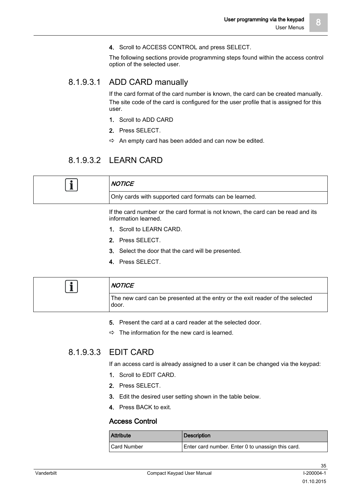4. Scroll to ACCESS CONTROL and press SELECT.

The following sections provide programming steps found within the access control option of the selected user.

#### 8.1.9.3.1 ADD CARD manually

If the card format of the card number is known, the card can be created manually. The site code of the card is configured for the user profile that is assigned for this user.

- 1. Scroll to ADD CARD
- 2. Press SELECT.
- $\Rightarrow$  An empty card has been added and can now be edited.

#### 8.1.9.3.2 LEARN CARD

| <b>NOTICE</b>                                          |
|--------------------------------------------------------|
| Only cards with supported card formats can be learned. |

If the card number or the card format is not known, the card can be read and its information learned.

- 1. Scroll to LEARN CARD.
- 2. Press SELECT.
- 3. Select the door that the card will be presented.
- 4. Press SELECT.

| <b>NOTICE</b>                                                                          |
|----------------------------------------------------------------------------------------|
| The new card can be presented at the entry or the exit reader of the selected<br>door. |

- 5. Present the card at a card reader at the selected door.
- $\Rightarrow$  The information for the new card is learned.

#### 8.1.9.3.3 EDIT CARD

If an access card is already assigned to a user it can be changed via the keypad:

- 1. Scroll to EDIT CARD.
- 2. Press SELECT.
- 3. Edit the desired user setting shown in the table below.
- 4. Press BACK to exit.

#### Access Control

| <b>Attribute</b> | <b>Description</b>                                |
|------------------|---------------------------------------------------|
| l Card Number    | Enter card number. Enter 0 to unassign this card. |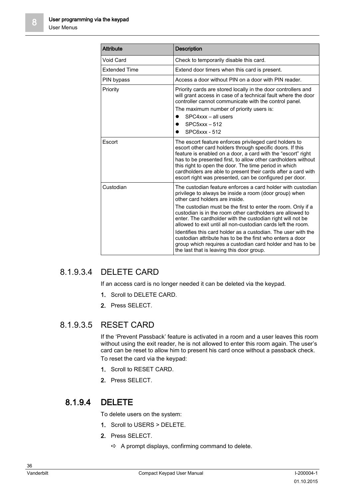| <b>Attribute</b>     | <b>Description</b>                                                                                                                                                                                                                                                                                                                                                                                                                        |
|----------------------|-------------------------------------------------------------------------------------------------------------------------------------------------------------------------------------------------------------------------------------------------------------------------------------------------------------------------------------------------------------------------------------------------------------------------------------------|
| Void Card            | Check to temporarily disable this card.                                                                                                                                                                                                                                                                                                                                                                                                   |
| <b>Extended Time</b> | Extend door timers when this card is present.                                                                                                                                                                                                                                                                                                                                                                                             |
| PIN bypass           | Access a door without PIN on a door with PIN reader.                                                                                                                                                                                                                                                                                                                                                                                      |
| Priority             | Priority cards are stored locally in the door controllers and<br>will grant access in case of a technical fault where the door<br>controller cannot communicate with the control panel.                                                                                                                                                                                                                                                   |
|                      | The maximum number of priority users is:                                                                                                                                                                                                                                                                                                                                                                                                  |
|                      | SPC4xxx - all users                                                                                                                                                                                                                                                                                                                                                                                                                       |
|                      | $SPC5$ xxx $-512$                                                                                                                                                                                                                                                                                                                                                                                                                         |
|                      | SPC6xxx - 512                                                                                                                                                                                                                                                                                                                                                                                                                             |
| Escort               | The escort feature enforces privileged card holders to<br>escort other card holders through specific doors. If this<br>feature is enabled on a door, a card with the "escort" right<br>has to be presented first, to allow other cardholders without<br>this right to open the door. The time period in which<br>cardholders are able to present their cards after a card with<br>escort right was presented, can be configured per door. |
| Custodian            | The custodian feature enforces a card holder with custodian<br>privilege to always be inside a room (door group) when<br>other card holders are inside.                                                                                                                                                                                                                                                                                   |
|                      | The custodian must be the first to enter the room. Only if a<br>custodian is in the room other cardholders are allowed to<br>enter. The cardholder with the custodian right will not be<br>allowed to exit until all non-custodian cards left the room.                                                                                                                                                                                   |
|                      | Identifies this card holder as a custodian. The user with the<br>custodian attribute has to be the first who enters a door<br>group which requires a custodian card holder and has to be<br>the last that is leaving this door group.                                                                                                                                                                                                     |

#### 8.1.9.3.4 DELETE CARD

If an access card is no longer needed it can be deleted via the keypad.

- 1. Scroll to DELETE CARD.
- 2. Press SELECT.

#### RESET CARD 8.1.9.3.5

If the 'Prevent Passback' feature is activated in a room and a user leaves this room without using the exit reader, he is not allowed to enter this room again. The user's card can be reset to allow him to present his card once without a passback check. To reset the card via the keypad:

- 1. Scroll to RESET CARD.
- 2. Press SELECT.

## <span id="page-35-0"></span>8.1.9.4 DELETE

To delete users on the system:

- 1. Scroll to USERS > DELETE.
- 2. Press SELECT.
	- $\Rightarrow$  A prompt displays, confirming command to delete.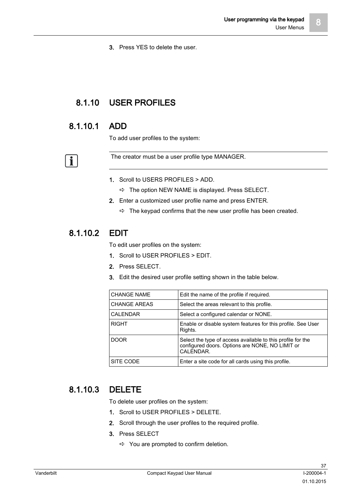3. Press YES to delete the user.

## <span id="page-36-0"></span>8.1.10 USER PROFILES

#### <span id="page-36-1"></span>8.1.10.1 ADD

 $\mathbf{i}$ 

To add user profiles to the system:

The creator must be a user profile type MANAGER.

- 1. Scroll to USERS PROFILES > ADD.
	- $\Rightarrow$  The option NEW NAME is displayed. Press SELECT.
- 2. Enter a customized user profile name and press ENTER.
	- $\Rightarrow$  The keypad confirms that the new user profile has been created.

## <span id="page-36-2"></span>8.1.10.2 EDIT

To edit user profiles on the system:

- 1. Scroll to USER PROFILES > EDIT.
- 2. Press SELECT.
- 3. Edit the desired user profile setting shown in the table below.

| <b>CHANGE NAME</b> | Edit the name of the profile if required.                                                                                   |  |
|--------------------|-----------------------------------------------------------------------------------------------------------------------------|--|
| I CHANGE AREAS     | Select the areas relevant to this profile.                                                                                  |  |
| <b>CALENDAR</b>    | Select a configured calendar or NONE.                                                                                       |  |
| <b>RIGHT</b>       | Enable or disable system features for this profile. See User<br>Rights.                                                     |  |
| <b>DOOR</b>        | Select the type of access available to this profile for the<br>configured doors. Options are NONE, NO LIMIT or<br>CALENDAR. |  |
| SITE CODE          | Enter a site code for all cards using this profile.                                                                         |  |

## <span id="page-36-3"></span>8.1.10.3 DELETE

To delete user profiles on the system:

- 1. Scroll to USER PROFILES > DELETE.
- 2. Scroll through the user profiles to the required profile.
- 3. Press SELECT
	- $\Rightarrow$  You are prompted to confirm deletion.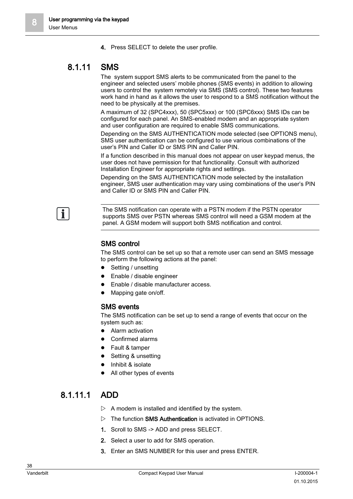4. Press SELECT to delete the user profile.

## <span id="page-37-0"></span>8.1.11 SMS

 $\mathbf i$ 

The system support SMS alerts to be communicated from the panel to the engineer and selected users' mobile phones (SMS events) in addition to allowing users to control the system remotely via SMS (SMS control). These two features work hand in hand as it allows the user to respond to a SMS notification without the need to be physically at the premises.

A maximum of 32 (SPC4xxx), 50 (SPC5xxx) or 100 (SPC6xxx) SMS IDs can be configured for each panel. An SMS-enabled modem and an appropriate system and user configuration are required to enable SMS communications.

Depending on the SMS AUTHENTICATION mode selected (see OPTIONS menu), SMS user authentication can be configured to use various combinations of the user's PIN and Caller ID or SMS PIN and Caller PIN.

If a function described in this manual does not appear on user keypad menus, the user does not have permission for that functionality. Consult with authorized Installation Engineer for appropriate rights and settings.

Depending on the SMS AUTHENTICATION mode selected by the installation engineer, SMS user authentication may vary using combinations of the user's PIN and Caller ID or SMS PIN and Caller PIN.

The SMS notification can operate with a PSTN modem if the PSTN operator supports SMS over PSTN whereas SMS control will need a GSM modem at the panel. A GSM modem will support both SMS notification and control.

#### SMS control

The SMS control can be set up so that a remote user can send an SMS message to perform the following actions at the panel:

- Setting / unsetting
- Enable / disable engineer
- Enable / disable manufacturer access.
- Mapping gate on/off.

#### SMS events

The SMS notification can be set up to send a range of events that occur on the system such as:

- Alarm activation
- Confirmed alarms
- Fault & tamper
- Setting & unsetting
- Inhibit & isolate
- All other types of events

## <span id="page-37-1"></span>8.1.11.1 ADD

- $\triangleright$  A modem is installed and identified by the system.
- $\triangleright$  The function **SMS Authentication** is activated in OPTIONS.
- 1. Scroll to SMS -> ADD and press SELECT.
- 2. Select a user to add for SMS operation.
- 3. Enter an SMS NUMBER for this user and press ENTER.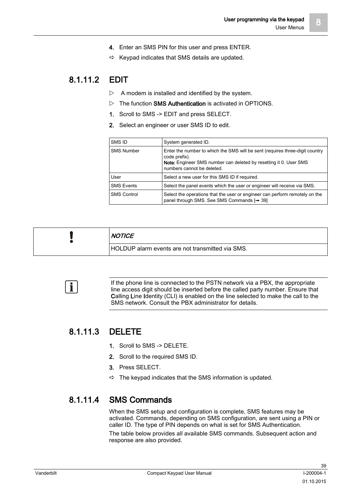- 4. Enter an SMS PIN for this user and press ENTER.
- $\Rightarrow$  Keypad indicates that SMS details are updated.

#### <span id="page-38-0"></span>8.1.11.2 EDIT

- $\triangleright$  A modem is installed and identified by the system.
- $\triangleright$  The function **SMS Authentication** is activated in OPTIONS.
- 1. Scroll to SMS -> EDIT and press SELECT.
- 2. Select an engineer or user SMS ID to edit.

| SMS ID             | System generated ID.                                                                                                                                                                                    |  |
|--------------------|---------------------------------------------------------------------------------------------------------------------------------------------------------------------------------------------------------|--|
| <b>SMS Number</b>  | Enter the number to which the SMS will be sent (requires three-digit country<br>code prefix).<br><b>Note:</b> Engineer SMS number can deleted by resetting it 0. User SMS<br>numbers cannot be deleted. |  |
| User               | Select a new user for this SMS ID if required.                                                                                                                                                          |  |
| <b>SMS Events</b>  | Select the panel events which the user or engineer will receive via SMS.                                                                                                                                |  |
| <b>SMS Control</b> | Select the operations that the user or engineer can perform remotely on the<br>panel through SMS. See SMS Commands [→ 39]                                                                               |  |

| <b>NOTICE</b>                                      |
|----------------------------------------------------|
| l HOLDUP alarm events are not transmitted via SMS. |

If the phone line is connected to the PSTN network via a PBX, the appropriate line access digit should be inserted before the called party number. Ensure that Calling Line Identity (CLI) is enabled on the line selected to make the call to the SMS network. Consult the PBX administrator for details.

## <span id="page-38-1"></span>8.1.11.3 DELETE

i.

- 1. Scroll to SMS -> DELETE.
- 2. Scroll to the required SMS ID.
- 3. Press SELECT.
- $\Rightarrow$  The keypad indicates that the SMS information is updated.

### <span id="page-38-2"></span>8.1.11.4 SMS Commands

When the SMS setup and configuration is complete, SMS features may be activated. Commands, depending on SMS configuration, are sent using a PIN or caller ID. The type of PIN depends on what is set for SMS Authentication. The table below provides all available SMS commands. Subsequent action and response are also provided.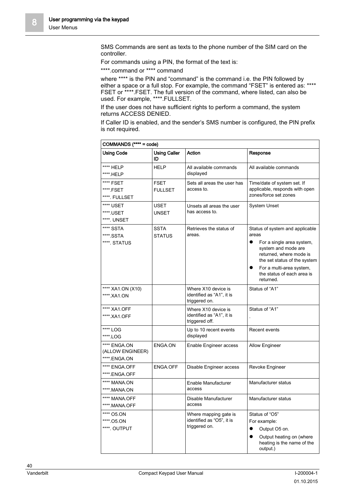User Menus

8

SMS Commands are sent as texts to the phone number of the SIM card on the controller.

For commands using a PIN, the format of the text is:

\*\*\*\*.command or \*\*\*\* command

where \*\*\*\* is the PIN and "command" is the command i.e. the PIN followed by either a space or a full stop. For example, the command "FSET" is entered as: \*\*\*\* FSET or \*\*\*\*.FSET. The full version of the command, where listed, can also be used. For example, \*\*\*\*.FULLSET.

If the user does not have sufficient rights to perform a command, the system returns ACCESS DENIED.

If Caller ID is enabled, and the sender's SMS number is configured, the PIN prefix is not required.

| COMMANDS (**** = code)                           |                               |                                                                     |                                                                                                                                                                                                                                |
|--------------------------------------------------|-------------------------------|---------------------------------------------------------------------|--------------------------------------------------------------------------------------------------------------------------------------------------------------------------------------------------------------------------------|
| <b>Using Code</b>                                | <b>Using Caller</b><br>ID     | Action                                                              | Response                                                                                                                                                                                                                       |
| **** HELP<br>****.HELP                           | <b>HELP</b>                   | All available commands<br>displayed                                 | All available commands                                                                                                                                                                                                         |
| **** FSET<br>****.FSET<br>****. FULLSET          | <b>FSET</b><br><b>FULLSET</b> | Sets all areas the user has<br>access to.                           | Time/date of system set. If<br>applicable, responds with open<br>zones/force set zones                                                                                                                                         |
| **** USET<br>****.USET<br>****. UNSET            | USET<br><b>UNSET</b>          | Unsets all areas the user<br>has access to.                         | System Unset                                                                                                                                                                                                                   |
| **** SSTA<br>****.SSTA<br>****. STATUS           | <b>SSTA</b><br><b>STATUS</b>  | Retrieves the status of<br>areas.                                   | Status of system and applicable<br>areas<br>For a single area system,<br>system and mode are<br>returned, where mode is<br>the set status of the system<br>For a multi-area system,<br>the status of each area is<br>returned. |
| **** XA1.ON (X10)<br>****.XA1.ON                 |                               | Where X10 device is<br>identified as "A1", it is<br>triggered on.   | Status of "A1"                                                                                                                                                                                                                 |
| **** XA1.OFF<br>****.XA1.OFF                     |                               | Where X10 device is<br>identified as "A1", it is<br>triggered off.  | Status of "A1"                                                                                                                                                                                                                 |
| **** LOG<br>****.LOG                             |                               | Up to 10 recent events<br>displayed                                 | Recent events                                                                                                                                                                                                                  |
| **** ENGA.ON<br>(ALLOW ENGINEER)<br>****.ENGA.ON | ENGA.ON                       | Enable Engineer access                                              | <b>Allow Engineer</b>                                                                                                                                                                                                          |
| **** ENGA.OFF<br>****.ENGA.OFF                   | <b>ENGA.OFF</b>               | Disable Engineer access                                             | Revoke Engineer                                                                                                                                                                                                                |
| **** MANA.ON<br>****.MANA.ON                     |                               | Enable Manufacturer<br>access                                       | Manufacturer status                                                                                                                                                                                                            |
| **** MANA.OFF<br>****.MANA.OFF                   |                               | Disable Manufacturer<br>access                                      | Manufacturer status                                                                                                                                                                                                            |
| **** 05.0N<br>****.05.0N<br>****. OUTPUT         |                               | Where mapping gate is<br>identified as "O5", it is<br>triggered on. | Status of "O5"<br>For example:<br>$\bullet$<br>Output O5 on.<br>Output heating on (where<br>heating is the name of the<br>output.)                                                                                             |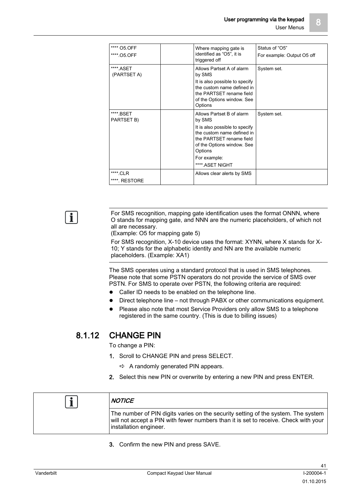User Menus

| **** 05.0FF<br>****.05.OFF | Where mapping gate is<br>identified as "O5", it is<br>triggered off                                                                                                                                         | Status of "O5"<br>For example: Output O5 off |
|----------------------------|-------------------------------------------------------------------------------------------------------------------------------------------------------------------------------------------------------------|----------------------------------------------|
| ****.ASET<br>(PARTSET A)   | Allows Partset A of alarm<br>by SMS<br>It is also possible to specify<br>the custom name defined in<br>the PARTSET rename field<br>of the Options window. See<br>Options                                    | System set.                                  |
| ****.BSET<br>PARTSET B)    | Allows Partset B of alarm<br>by SMS<br>It is also possible to specify<br>the custom name defined in<br>the PARTSET rename field<br>of the Options window. See<br>Options<br>For example:<br>****.ASET NIGHT | System set.                                  |
| ****.CLR<br>**** RESTORE   | Allows clear alerts by SMS                                                                                                                                                                                  |                                              |

For SMS recognition, mapping gate identification uses the format ONNN, where O stands for mapping gate, and NNN are the numeric placeholders, of which not all are necessary.

(Example: O5 for mapping gate 5)

For SMS recognition, X-10 device uses the format: XYNN, where X stands for X-10; Y stands for the alphabetic identity and NN are the available numeric placeholders. (Example: XA1)

The SMS operates using a standard protocol that is used in SMS telephones. Please note that some PSTN operators do not provide the service of SMS over PSTN. For SMS to operate over PSTN, the following criteria are required:

- Caller ID needs to be enabled on the telephone line.
- Direct telephone line not through PABX or other communications equipment.
- Please also note that most Service Providers only allow SMS to a telephone registered in the same country. (This is due to billing issues)

#### <span id="page-40-0"></span>8.1.12 CHANGE PIN

 $\mathbf i$ 

To change a PIN:

- 1. Scroll to CHANGE PIN and press SELECT.
	- $\Rightarrow$  A randomly generated PIN appears.
- 2. Select this new PIN or overwrite by entering a new PIN and press ENTER.

| NOTICE                                                                                                                                                                                             |  |
|----------------------------------------------------------------------------------------------------------------------------------------------------------------------------------------------------|--|
| The number of PIN digits varies on the security setting of the system. The system<br>will not accept a PIN with fewer numbers than it is set to receive. Check with your<br>installation engineer. |  |

3. Confirm the new PIN and press SAVE.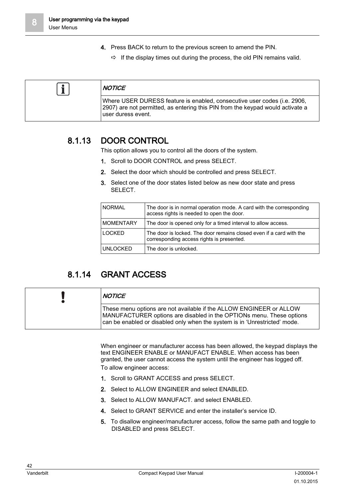- 4. Press BACK to return to the previous screen to amend the PIN.
	- $\Rightarrow$  If the display times out during the process, the old PIN remains valid.

| NOTICE                                                                                                                                                                              |
|-------------------------------------------------------------------------------------------------------------------------------------------------------------------------------------|
| Where USER DURESS feature is enabled, consecutive user codes (i.e. 2906,<br>[2907] are not permitted, as entering this PIN from the keypad would activate a<br>l user duress event. |

#### <span id="page-41-0"></span>8.1.13 DOOR CONTROL

This option allows you to control all the doors of the system.

- 1. Scroll to DOOR CONTROL and press SELECT.
- 2. Select the door which should be controlled and press SELECT.
- 3. Select one of the door states listed below as new door state and press SELECT.

| <b>NORMAL</b>    | The door is in normal operation mode. A card with the corresponding<br>access rights is needed to open the door. |  |
|------------------|------------------------------------------------------------------------------------------------------------------|--|
| <b>MOMENTARY</b> | The door is opened only for a timed interval to allow access.                                                    |  |
| <b>LOCKED</b>    | The door is locked. The door remains closed even if a card with the<br>corresponding access rights is presented. |  |
| <b>UNLOCKED</b>  | The door is unlocked.                                                                                            |  |

## 8.1.14 GRANT ACCESS

<span id="page-41-1"></span>

| <b>NOTICE</b>                                                                                                                                                                                                             |
|---------------------------------------------------------------------------------------------------------------------------------------------------------------------------------------------------------------------------|
| These menu options are not available if the ALLOW ENGINEER or ALLOW<br>MANUFACTURER options are disabled in the OPTIONs menu. These options<br>can be enabled or disabled only when the system is in 'Unrestricted' mode. |

When engineer or manufacturer access has been allowed, the keypad displays the text ENGINEER ENABLE or MANUFACT ENABLE. When access has been granted, the user cannot access the system until the engineer has logged off.

To allow engineer access:

- 1. Scroll to GRANT ACCESS and press SELECT.
- 2. Select to ALLOW ENGINEER and select ENABLED.
- 3. Select to ALLOW MANUFACT. and select ENABLED.
- 4. Select to GRANT SERVICE and enter the installer's service ID.
- 5. To disallow engineer/manufacturer access, follow the same path and toggle to DISABLED and press SELECT.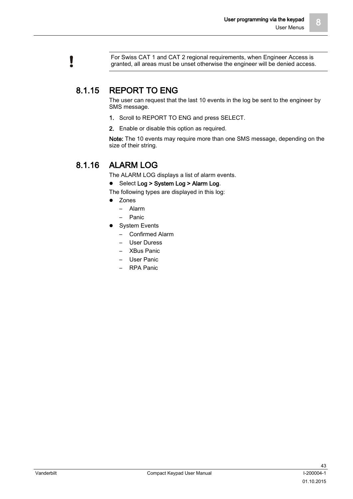For Swiss CAT 1 and CAT 2 regional requirements, when Engineer Access is granted, all areas must be unset otherwise the engineer will be denied access.

## <span id="page-42-0"></span>8.1.15 REPORT TO ENG

The user can request that the last 10 events in the log be sent to the engineer by SMS message.

- 1. Scroll to REPORT TO ENG and press SELECT.
- 2. Enable or disable this option as required.

Note: The 10 events may require more than one SMS message, depending on the size of their string.

## <span id="page-42-1"></span>8.1.16 ALARM LOG

The ALARM LOG displays a list of alarm events.

#### • Select Log > System Log > Alarm Log.

The following types are displayed in this log:

- Zones
	- Alarm
	- Panic
- System Events
	- Confirmed Alarm
	- User Duress
	- XBus Panic
	- User Panic
	- RPA Panic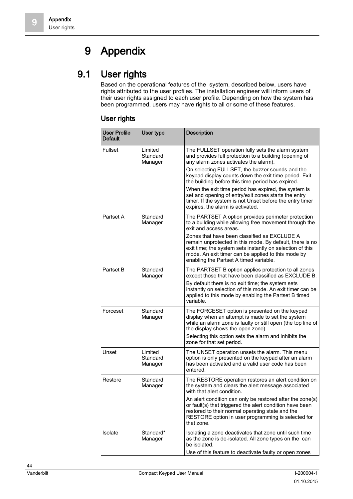# 9 Appendix

# <span id="page-43-1"></span><span id="page-43-0"></span>9.1 User rights

Based on the operational features of the system, described below, users have rights attributed to the user profiles. The installation engineer will inform users of their user rights assigned to each user profile. Depending on how the system has been programmed, users may have rights to all or some of these features.

#### User rights

| <b>User Profile</b><br><b>Default</b> | User type                      | <b>Description</b>                                                                                                                                                                                                                                                    |
|---------------------------------------|--------------------------------|-----------------------------------------------------------------------------------------------------------------------------------------------------------------------------------------------------------------------------------------------------------------------|
| Fullset                               | Limited<br>Standard<br>Manager | The FULLSET operation fully sets the alarm system<br>and provides full protection to a building (opening of<br>any alarm zones activates the alarm).                                                                                                                  |
|                                       |                                | On selecting FULLSET, the buzzer sounds and the<br>keypad display counts down the exit time period. Exit<br>the building before this time period has expired.                                                                                                         |
|                                       |                                | When the exit time period has expired, the system is<br>set and opening of entry/exit zones starts the entry<br>timer. If the system is not Unset before the entry timer<br>expires, the alarm is activated.                                                          |
| Partset A                             | Standard<br>Manager            | The PARTSET A option provides perimeter protection<br>to a building while allowing free movement through the<br>exit and access areas.                                                                                                                                |
|                                       |                                | Zones that have been classified as EXCLUDE A<br>remain unprotected in this mode. By default, there is no<br>exit time; the system sets instantly on selection of this<br>mode. An exit timer can be applied to this mode by<br>enabling the Partset A timed variable. |
| Partset B                             | Standard<br>Manager            | The PARTSET B option applies protection to all zones<br>except those that have been classified as EXCLUDE B.                                                                                                                                                          |
|                                       |                                | By default there is no exit time; the system sets<br>instantly on selection of this mode. An exit timer can be<br>applied to this mode by enabling the Partset B timed<br>variable.                                                                                   |
| Forceset                              | Standard<br>Manager            | The FORCESET option is presented on the keypad<br>display when an attempt is made to set the system<br>while an alarm zone is faulty or still open (the top line of<br>the display shows the open zone).                                                              |
|                                       |                                | Selecting this option sets the alarm and inhibits the<br>zone for that set period.                                                                                                                                                                                    |
| Unset                                 | Limited<br>Standard<br>Manager | The UNSET operation unsets the alarm. This menu<br>option is only presented on the keypad after an alarm<br>has been activated and a valid user code has been<br>entered.                                                                                             |
| Restore                               | Standard<br>Manager            | The RESTORE operation restores an alert condition on<br>the system and clears the alert message associated<br>with that alert condition.                                                                                                                              |
|                                       |                                | An alert condition can only be restored after the zone(s)<br>or fault(s) that triggered the alert condition have been<br>restored to their normal operating state and the<br>RESTORE option in user programming is selected for<br>that zone.                         |
| Isolate                               | Standard*<br>Manager           | Isolating a zone deactivates that zone until such time<br>as the zone is de-isolated. All zone types on the can<br>be isolated.                                                                                                                                       |
|                                       |                                | Use of this feature to deactivate faulty or open zones                                                                                                                                                                                                                |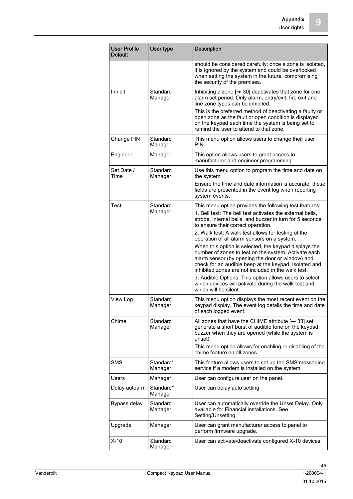$\overline{\phantom{0}}$ 

| <b>User Profile</b><br><b>Default</b> | User type            | <b>Description</b>                                                                                                                                                                                                                                                               |
|---------------------------------------|----------------------|----------------------------------------------------------------------------------------------------------------------------------------------------------------------------------------------------------------------------------------------------------------------------------|
|                                       |                      | should be considered carefully; once a zone is isolated,<br>it is ignored by the system and could be overlooked<br>when setting the system in the future, compromising<br>the security of the premises.                                                                          |
| Inhibit                               | Standard<br>Manager  | Inhibiting a zone $\rightarrow$ 30] deactivates that zone for one<br>alarm set period. Only alarm, entry/exit, fire exit and<br>line zone types can be inhibited.                                                                                                                |
|                                       |                      | This is the preferred method of deactivating a faulty or<br>open zone as the fault or open condition is displayed<br>on the keypad each time the system is being set to<br>remind the user to attend to that zone.                                                               |
| Change PIN                            | Standard<br>Manager  | This menu option allows users to change their user<br>PIN.                                                                                                                                                                                                                       |
| Engineer                              | Manager              | This option allows users to grant access to<br>manufacturer and engineer programming.                                                                                                                                                                                            |
| Set Date /<br>Time                    | Standard<br>Manager  | Use this menu option to program the time and date on<br>the system.                                                                                                                                                                                                              |
|                                       |                      | Ensure the time and date information is accurate; these<br>fields are presented in the event log when reporting<br>system events.                                                                                                                                                |
| Test                                  | Standard<br>Manager  | This menu option provides the following test features:<br>1. Bell test: The bell test activates the external bells,<br>strobe, internal bells, and buzzer in turn for 5 seconds<br>to ensure their correct operation.                                                            |
|                                       |                      | 2. Walk test: A walk test allows for testing of the<br>operation of all alarm sensors on a system.                                                                                                                                                                               |
|                                       |                      | When this option is selected, the keypad displays the<br>number of zones to test on the system. Activate each<br>alarm sensor (by opening the door or window) and<br>check for an audible beep at the keypad. Isolated and<br>inhibited zones are not included in the walk test. |
|                                       |                      | 3. Audible Options: This option allows users to select<br>which devices will activate during the walk test and<br>which will be silent.                                                                                                                                          |
| View Log                              | Standard<br>Manager  | This menu option displays the most recent event on the<br>keypad display. The event log details the time and date<br>of each logged event.                                                                                                                                       |
| Chime                                 | Standard<br>Manager  | All zones that have the CHIME attribute $[\rightarrow 33]$ set<br>generate a short burst of audible tone on the keypad<br>buzzer when they are opened (while the system is<br>unset).                                                                                            |
|                                       |                      | This menu option allows for enabling or disabling of the<br>chime feature on all zones.                                                                                                                                                                                          |
| SMS                                   | Standard*<br>Manager | This feature allows users to set up the SMS messaging<br>service if a modem is installed on the system.                                                                                                                                                                          |
| Users                                 | Manager              | User can configure user on the panel.                                                                                                                                                                                                                                            |
| Delay autoarm                         | Standard*<br>Manager | User can delay auto setting.                                                                                                                                                                                                                                                     |
| Bypass delay                          | Standard<br>Manager  | User can automatically override the Unset Delay. Only<br>available for Financial installations. See<br>Setting/Unsetting                                                                                                                                                         |
| Upgrade                               | Manager              | User can grant manufacturer access to panel to<br>perform firmware upgrade.                                                                                                                                                                                                      |
| $X-10$                                | Standard<br>Manager  | User can activate/deactivate configured X-10 devices.                                                                                                                                                                                                                            |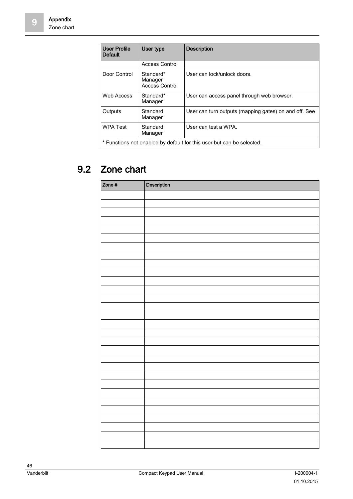| User Profile<br>Default                                               | User type                                     | <b>Description</b>                                    |
|-----------------------------------------------------------------------|-----------------------------------------------|-------------------------------------------------------|
|                                                                       | <b>Access Control</b>                         |                                                       |
| Door Control                                                          | Standard*<br>Manager<br><b>Access Control</b> | User can lock/unlock doors.                           |
| Web Access                                                            | Standard*<br>Manager                          | User can access panel through web browser.            |
| Outputs                                                               | Standard<br>Manager                           | User can turn outputs (mapping gates) on and off. See |
| <b>WPA Test</b>                                                       | Standard<br>Manager                           | User can test a WPA.                                  |
| * Functions not enabled by default for this user but can be selected. |                                               |                                                       |

# <span id="page-45-0"></span>9.2 Zone chart

| Zone # | Description |
|--------|-------------|
|        |             |
|        |             |
|        |             |
|        |             |
|        |             |
|        |             |
|        |             |
|        |             |
|        |             |
|        |             |
|        |             |
|        |             |
|        |             |
|        |             |
|        |             |
|        |             |
|        |             |
|        |             |
|        |             |
|        |             |
|        |             |
|        |             |
|        |             |
|        |             |
|        |             |
|        |             |
|        |             |
|        |             |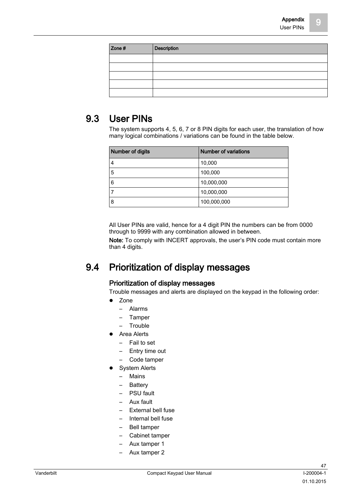| Zone # | <b>Description</b> |
|--------|--------------------|
|        |                    |
|        |                    |
|        |                    |
|        |                    |
|        |                    |

## <span id="page-46-0"></span>9.3 User PINs

The system supports 4, 5, 6, 7 or 8 PIN digits for each user, the translation of how many logical combinations / variations can be found in the table below.

| Number of digits | <b>Number of variations</b> |
|------------------|-----------------------------|
| 4                | 10,000                      |
| 5                | 100,000                     |
| 6                | 10,000,000                  |
|                  | 10,000,000                  |
| 8                | 100,000,000                 |

All User PINs are valid, hence for a 4 digit PIN the numbers can be from 0000 through to 9999 with any combination allowed in between.

Note: To comply with INCERT approvals, the user's PIN code must contain more than 4 digits.

## <span id="page-46-1"></span>9.4 Prioritization of display messages

#### Prioritization of display messages

Trouble messages and alerts are displayed on the keypad in the following order:

- Zone
	- Alarms
	- Tamper
	- Trouble
- Area Alerts
	- Fail to set
	- Entry time out
	- Code tamper
- System Alerts
	- Mains
	- Battery
	- PSU fault
	- Aux fault
	- External bell fuse
	- Internal bell fuse
	- Bell tamper
	- Cabinet tamper
	- Aux tamper 1
	- Aux tamper 2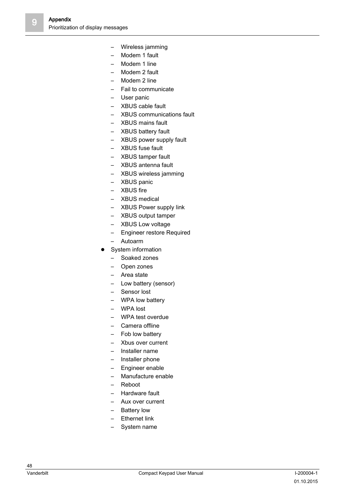- Wireless jamming
- Modem 1 fault
- Modem 1 line
- Modem 2 fault
- Modem 2 line
- Fail to communicate
- User panic
- XBUS cable fault
- XBUS communications fault
- XBUS mains fault
- XBUS battery fault
- XBUS power supply fault
- XBUS fuse fault
- XBUS tamper fault
- XBUS antenna fault
- XBUS wireless jamming
- XBUS panic
- XBUS fire
- XBUS medical
- XBUS Power supply link
- XBUS output tamper
- XBUS Low voltage
- Engineer restore Required
- Autoarm
- System information
	- Soaked zones
	- Open zones
	- Area state
	- Low battery (sensor)
	- Sensor lost
	- WPA low battery
	- WPA lost
	- WPA test overdue
	- Camera offline
	- Fob low battery
	- Xbus over current
	- Installer name
	- Installer phone
	- Engineer enable
	- Manufacture enable
	- Reboot
	- Hardware fault
	- Aux over current
	- Battery low
	- Ethernet link
	- System name